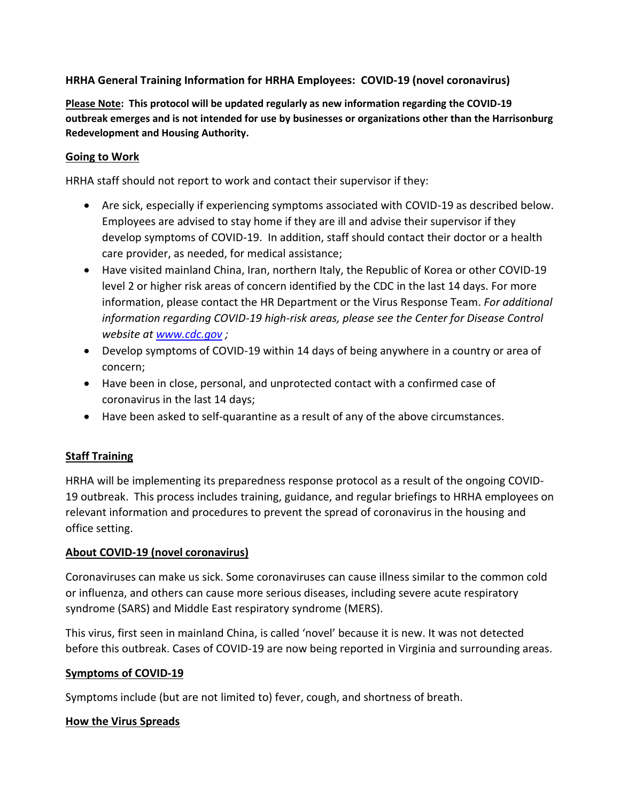## **HRHA General Training Information for HRHA Employees: COVID-19 (novel coronavirus)**

**Please Note: This protocol will be updated regularly as new information regarding the COVID-19 outbreak emerges and is not intended for use by businesses or organizations other than the Harrisonburg Redevelopment and Housing Authority.**

## **Going to Work**

HRHA staff should not report to work and contact their supervisor if they:

- Are sick, especially if experiencing symptoms associated with COVID-19 as described below. Employees are advised to stay home if they are ill and advise their supervisor if they develop symptoms of COVID-19. In addition, staff should contact their doctor or a health care provider, as needed, for medical assistance;
- Have visited mainland China, Iran, northern Italy, the Republic of Korea or other COVID-19 level 2 or higher risk areas of concern identified by the CDC in the last 14 days. For more information, please contact the HR Department or the Virus Response Team. *For additional information regarding COVID-19 high-risk areas, please see the Center for Disease Control website at [www.cdc.gov](http://www.cdc.gov/) ;*
- Develop symptoms of COVID-19 within 14 days of being anywhere in a country or area of concern;
- Have been in close, personal, and unprotected contact with a confirmed case of coronavirus in the last 14 days;
- Have been asked to self-quarantine as a result of any of the above circumstances.

# **Staff Training**

HRHA will be implementing its preparedness response protocol as a result of the ongoing COVID-19 outbreak. This process includes training, guidance, and regular briefings to HRHA employees on relevant information and procedures to prevent the spread of coronavirus in the housing and office setting.

## **About COVID-19 (novel coronavirus)**

Coronaviruses can make us sick. Some coronaviruses can cause illness similar to the common cold or influenza, and others can cause more serious diseases, including severe acute respiratory syndrome (SARS) and Middle East respiratory syndrome (MERS).

This virus, first seen in mainland China, is called 'novel' because it is new. It was not detected before this outbreak. Cases of COVID-19 are now being reported in Virginia and surrounding areas.

## **Symptoms of COVID-19**

Symptoms include (but are not limited to) fever, cough, and shortness of breath.

## **How the Virus Spreads**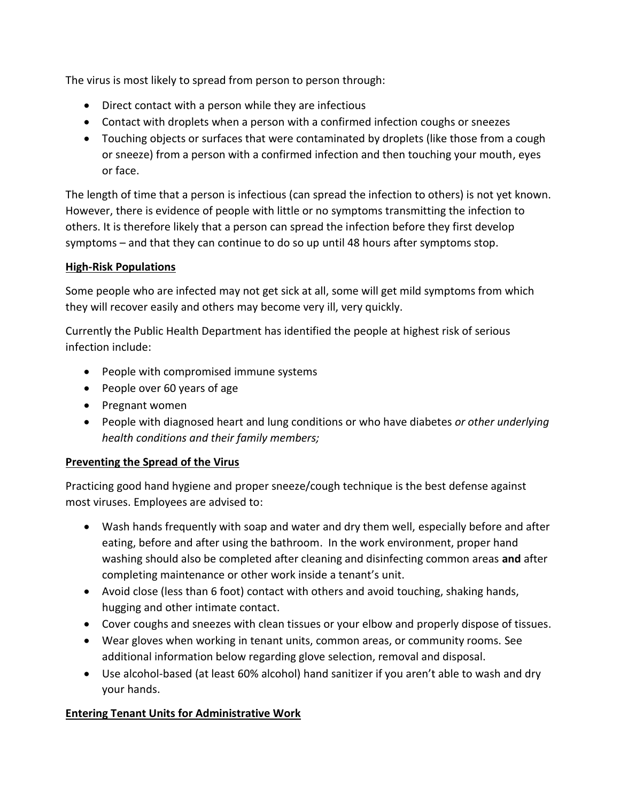The virus is most likely to spread from person to person through:

- Direct contact with a person while they are infectious
- Contact with droplets when a person with a confirmed infection coughs or sneezes
- Touching objects or surfaces that were contaminated by droplets (like those from a cough or sneeze) from a person with a confirmed infection and then touching your mouth, eyes or face.

The length of time that a person is infectious (can spread the infection to others) is not yet known. However, there is evidence of people with little or no symptoms transmitting the infection to others. It is therefore likely that a person can spread the infection before they first develop symptoms – and that they can continue to do so up until 48 hours after symptoms stop.

## **High-Risk Populations**

Some people who are infected may not get sick at all, some will get mild symptoms from which they will recover easily and others may become very ill, very quickly.

Currently the Public Health Department has identified the people at highest risk of serious infection include:

- People with compromised immune systems
- People over 60 years of age
- Pregnant women
- People with diagnosed heart and lung conditions or who have diabetes *or other underlying health conditions and their family members;*

## **Preventing the Spread of the Virus**

Practicing good hand hygiene and proper sneeze/cough technique is the best defense against most viruses. Employees are advised to:

- Wash hands frequently with soap and water and dry them well, especially before and after eating, before and after using the bathroom. In the work environment, proper hand washing should also be completed after cleaning and disinfecting common areas **and** after completing maintenance or other work inside a tenant's unit.
- Avoid close (less than 6 foot) contact with others and avoid touching, shaking hands, hugging and other intimate contact.
- Cover coughs and sneezes with clean tissues or your elbow and properly dispose of tissues.
- Wear gloves when working in tenant units, common areas, or community rooms. See additional information below regarding glove selection, removal and disposal.
- Use alcohol-based (at least 60% alcohol) hand sanitizer if you aren't able to wash and dry your hands.

## **Entering Tenant Units for Administrative Work**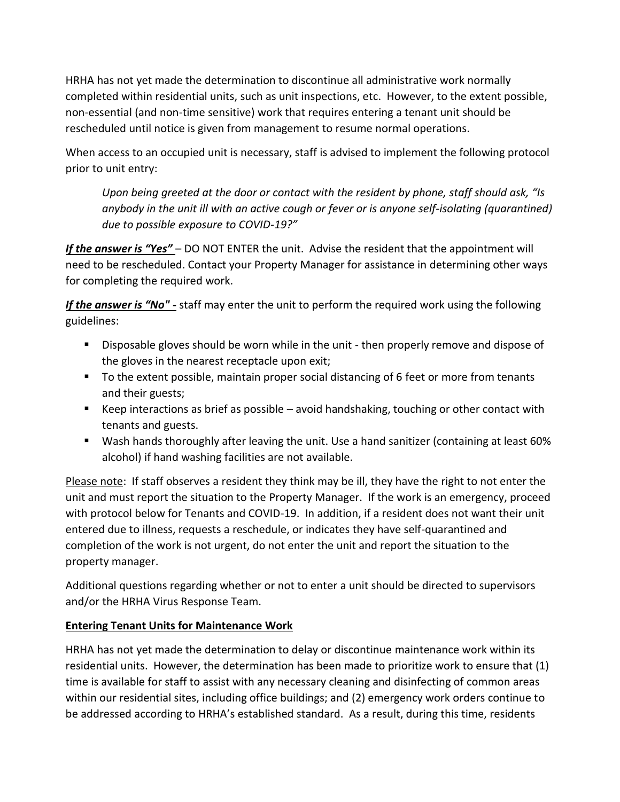HRHA has not yet made the determination to discontinue all administrative work normally completed within residential units, such as unit inspections, etc. However, to the extent possible, non-essential (and non-time sensitive) work that requires entering a tenant unit should be rescheduled until notice is given from management to resume normal operations.

When access to an occupied unit is necessary, staff is advised to implement the following protocol prior to unit entry:

*Upon being greeted at the door or contact with the resident by phone, staff should ask, "Is anybody in the unit ill with an active cough or fever or is anyone self-isolating (quarantined) due to possible exposure to COVID-19?"* 

*If the answer is "Yes"* – DO NOT ENTER the unit. Advise the resident that the appointment will need to be rescheduled. Contact your Property Manager for assistance in determining other ways for completing the required work.

*If the answer is "No" -* staff may enter the unit to perform the required work using the following guidelines:

- **Disposable gloves should be worn while in the unit then properly remove and dispose of** the gloves in the nearest receptacle upon exit;
- To the extent possible, maintain proper social distancing of 6 feet or more from tenants and their guests;
- Keep interactions as brief as possible avoid handshaking, touching or other contact with tenants and guests.
- Wash hands thoroughly after leaving the unit. Use a hand sanitizer (containing at least 60% alcohol) if hand washing facilities are not available.

Please note: If staff observes a resident they think may be ill, they have the right to not enter the unit and must report the situation to the Property Manager. If the work is an emergency, proceed with protocol below for Tenants and COVID-19. In addition, if a resident does not want their unit entered due to illness, requests a reschedule, or indicates they have self-quarantined and completion of the work is not urgent, do not enter the unit and report the situation to the property manager.

Additional questions regarding whether or not to enter a unit should be directed to supervisors and/or the HRHA Virus Response Team.

# **Entering Tenant Units for Maintenance Work**

HRHA has not yet made the determination to delay or discontinue maintenance work within its residential units. However, the determination has been made to prioritize work to ensure that (1) time is available for staff to assist with any necessary cleaning and disinfecting of common areas within our residential sites, including office buildings; and (2) emergency work orders continue to be addressed according to HRHA's established standard. As a result, during this time, residents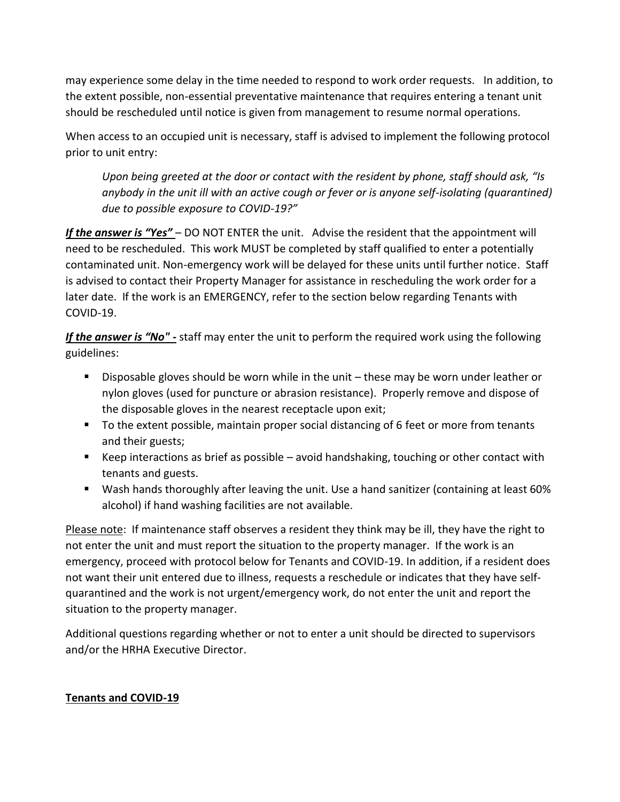may experience some delay in the time needed to respond to work order requests. In addition, to the extent possible, non-essential preventative maintenance that requires entering a tenant unit should be rescheduled until notice is given from management to resume normal operations.

When access to an occupied unit is necessary, staff is advised to implement the following protocol prior to unit entry:

*Upon being greeted at the door or contact with the resident by phone, staff should ask, "Is anybody in the unit ill with an active cough or fever or is anyone self-isolating (quarantined) due to possible exposure to COVID-19?"* 

If the answer is "Yes" - DO NOT ENTER the unit. Advise the resident that the appointment will need to be rescheduled. This work MUST be completed by staff qualified to enter a potentially contaminated unit. Non-emergency work will be delayed for these units until further notice. Staff is advised to contact their Property Manager for assistance in rescheduling the work order for a later date. If the work is an EMERGENCY, refer to the section below regarding Tenants with COVID-19.

*If the answer is "No" -* staff may enter the unit to perform the required work using the following guidelines:

- Disposable gloves should be worn while in the unit these may be worn under leather or nylon gloves (used for puncture or abrasion resistance). Properly remove and dispose of the disposable gloves in the nearest receptacle upon exit;
- To the extent possible, maintain proper social distancing of 6 feet or more from tenants and their guests;
- Keep interactions as brief as possible avoid handshaking, touching or other contact with tenants and guests.
- Wash hands thoroughly after leaving the unit. Use a hand sanitizer (containing at least 60% alcohol) if hand washing facilities are not available.

Please note: If maintenance staff observes a resident they think may be ill, they have the right to not enter the unit and must report the situation to the property manager. If the work is an emergency, proceed with protocol below for Tenants and COVID-19. In addition, if a resident does not want their unit entered due to illness, requests a reschedule or indicates that they have selfquarantined and the work is not urgent/emergency work, do not enter the unit and report the situation to the property manager.

Additional questions regarding whether or not to enter a unit should be directed to supervisors and/or the HRHA Executive Director.

## **Tenants and COVID-19**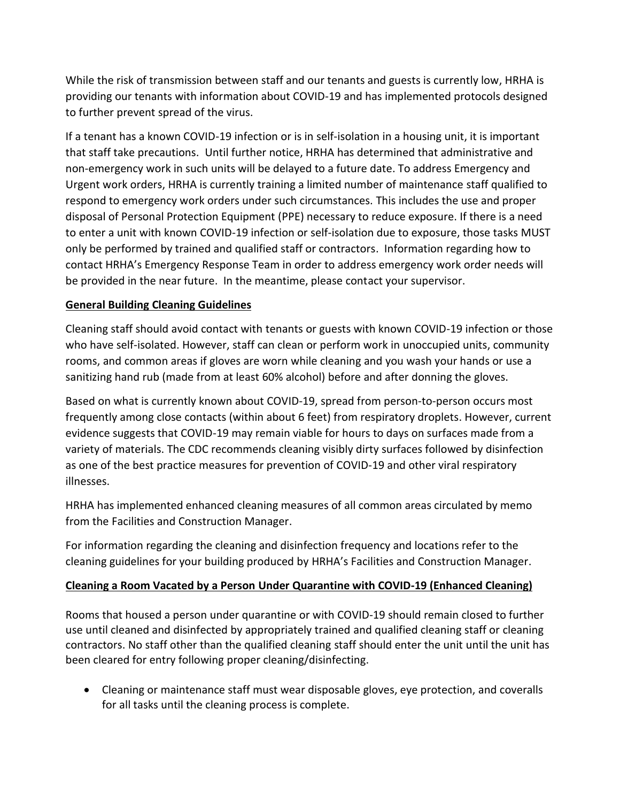While the risk of transmission between staff and our tenants and guests is currently low, HRHA is providing our tenants with information about COVID-19 and has implemented protocols designed to further prevent spread of the virus.

If a tenant has a known COVID-19 infection or is in self-isolation in a housing unit, it is important that staff take precautions. Until further notice, HRHA has determined that administrative and non-emergency work in such units will be delayed to a future date. To address Emergency and Urgent work orders, HRHA is currently training a limited number of maintenance staff qualified to respond to emergency work orders under such circumstances. This includes the use and proper disposal of Personal Protection Equipment (PPE) necessary to reduce exposure. If there is a need to enter a unit with known COVID-19 infection or self-isolation due to exposure, those tasks MUST only be performed by trained and qualified staff or contractors. Information regarding how to contact HRHA's Emergency Response Team in order to address emergency work order needs will be provided in the near future. In the meantime, please contact your supervisor.

## **General Building Cleaning Guidelines**

Cleaning staff should avoid contact with tenants or guests with known COVID-19 infection or those who have self-isolated. However, staff can clean or perform work in unoccupied units, community rooms, and common areas if gloves are worn while cleaning and you wash your hands or use a sanitizing hand rub (made from at least 60% alcohol) before and after donning the gloves.

Based on what is currently known about COVID-19, spread from person-to-person occurs most frequently among close contacts (within about 6 feet) from respiratory droplets. However, current evidence suggests that COVID-19 may remain viable for hours to days on surfaces made from a variety of materials. The CDC recommends cleaning visibly dirty surfaces followed by disinfection as one of the best practice measures for prevention of COVID-19 and other viral respiratory illnesses.

HRHA has implemented enhanced cleaning measures of all common areas circulated by memo from the Facilities and Construction Manager.

For information regarding the cleaning and disinfection frequency and locations refer to the cleaning guidelines for your building produced by HRHA's Facilities and Construction Manager.

## **Cleaning a Room Vacated by a Person Under Quarantine with COVID-19 (Enhanced Cleaning)**

Rooms that housed a person under quarantine or with COVID-19 should remain closed to further use until cleaned and disinfected by appropriately trained and qualified cleaning staff or cleaning contractors. No staff other than the qualified cleaning staff should enter the unit until the unit has been cleared for entry following proper cleaning/disinfecting.

 Cleaning or maintenance staff must wear disposable gloves, eye protection, and coveralls for all tasks until the cleaning process is complete.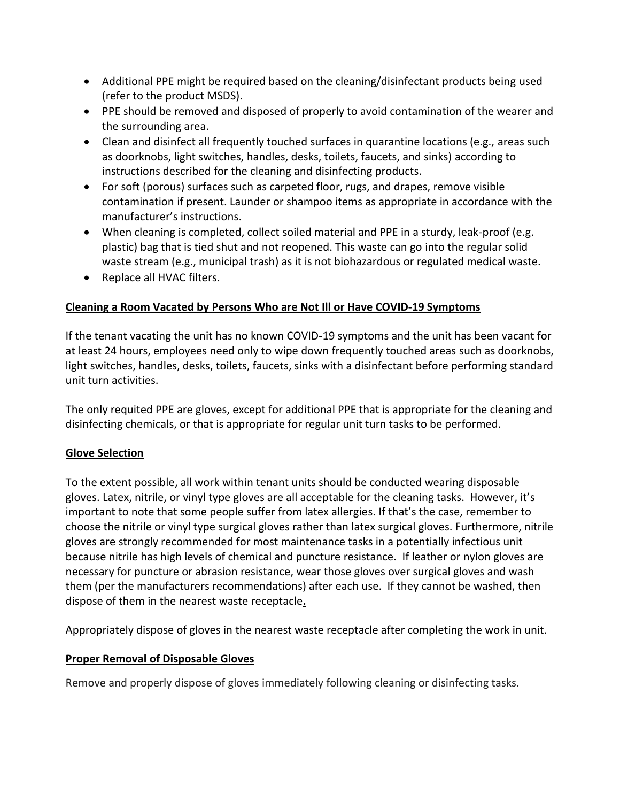- Additional PPE might be required based on the cleaning/disinfectant products being used (refer to the product MSDS).
- PPE should be removed and disposed of properly to avoid contamination of the wearer and the surrounding area.
- Clean and disinfect all frequently touched surfaces in quarantine locations (e.g., areas such as doorknobs, light switches, handles, desks, toilets, faucets, and sinks) according to instructions described for the cleaning and disinfecting products.
- For soft (porous) surfaces such as carpeted floor, rugs, and drapes, remove visible contamination if present. Launder or shampoo items as appropriate in accordance with the manufacturer's instructions.
- When cleaning is completed, collect soiled material and PPE in a sturdy, leak-proof (e.g. plastic) bag that is tied shut and not reopened. This waste can go into the regular solid waste stream (e.g., municipal trash) as it is not biohazardous or regulated medical waste.
- Replace all HVAC filters.

## **Cleaning a Room Vacated by Persons Who are Not Ill or Have COVID-19 Symptoms**

If the tenant vacating the unit has no known COVID-19 symptoms and the unit has been vacant for at least 24 hours, employees need only to wipe down frequently touched areas such as doorknobs, light switches, handles, desks, toilets, faucets, sinks with a disinfectant before performing standard unit turn activities.

The only requited PPE are gloves, except for additional PPE that is appropriate for the cleaning and disinfecting chemicals, or that is appropriate for regular unit turn tasks to be performed.

## **Glove Selection**

To the extent possible, all work within tenant units should be conducted wearing disposable gloves. Latex, nitrile, or vinyl type gloves are all acceptable for the cleaning tasks. However, it's important to note that some people suffer from latex allergies. If that's the case, remember to choose the nitrile or vinyl type surgical gloves rather than latex surgical gloves. Furthermore, nitrile gloves are strongly recommended for most maintenance tasks in a potentially infectious unit because nitrile has high levels of chemical and puncture resistance. If leather or nylon gloves are necessary for puncture or abrasion resistance, wear those gloves over surgical gloves and wash them (per the manufacturers recommendations) after each use. If they cannot be washed, then dispose of them in the nearest waste receptacle**.**

Appropriately dispose of gloves in the nearest waste receptacle after completing the work in unit.

## **Proper Removal of Disposable Gloves**

Remove and properly dispose of gloves immediately following cleaning or disinfecting tasks.